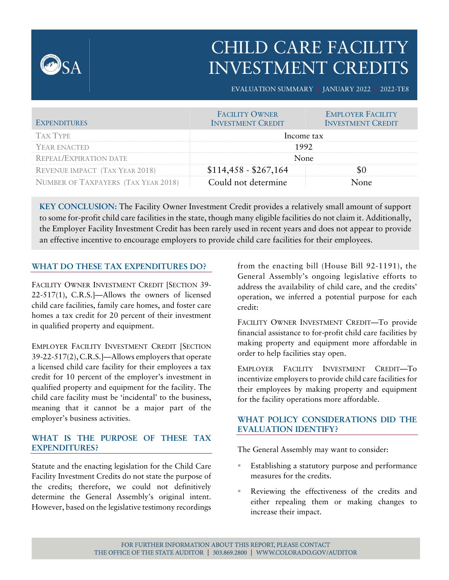

# CHILD CARE FACILITY INVESTMENT CREDITS

EVALUATION SUMMARY **|** JANUARY 2022 **|** 2022-TE8

| <b>EXPENDITURES</b>                   | <b>FACILITY OWNER</b><br><b>INVESTMENT CREDIT</b> | <b>EMPLOYER FACILITY</b><br><b>INVESTMENT CREDIT</b> |
|---------------------------------------|---------------------------------------------------|------------------------------------------------------|
| <b>TAX TYPE</b>                       | Income tax                                        |                                                      |
| YEAR ENACTED                          | 1992                                              |                                                      |
| <b>REPEAL/EXPIRATION DATE</b>         | None                                              |                                                      |
| <b>REVENUE IMPACT (TAX YEAR 2018)</b> | $$114,458 - $267,164$                             |                                                      |
| NUMBER OF TAXPAYERS (TAX YEAR 2018)   | Could not determine                               | nne                                                  |

**KEY CONCLUSION:** The Facility Owner Investment Credit provides a relatively small amount of support to some for-profit child care facilities in the state, though many eligible facilities do not claim it. Additionally, the Employer Facility Investment Credit has been rarely used in recent years and does not appear to provide an effective incentive to encourage employers to provide child care facilities for their employees.

## **WHAT DO THESE TAX EXPENDITURES DO?**

FACILITY OWNER INVESTMENT CREDIT [SECTION 39- 22-517(1), C.R.S.]—Allows the owners of licensed child care facilities, family care homes, and foster care homes a tax credit for 20 percent of their investment in qualified property and equipment.

EMPLOYER FACILITY INVESTMENT CREDIT [SECTION 39-22-517(2), C.R.S.]—Allows employers that operate a licensed child care facility for their employees a tax credit for 10 percent of the employer's investment in qualified property and equipment for the facility. The child care facility must be 'incidental' to the business, meaning that it cannot be a major part of the employer's business activities.

## **WHAT IS THE PURPOSE OF THESE TAX EXPENDITURES?**

Statute and the enacting legislation for the Child Care Facility Investment Credits do not state the purpose of the credits; therefore, we could not definitively determine the General Assembly's original intent. However, based on the legislative testimony recordings

from the enacting bill (House Bill 92-1191), the General Assembly's ongoing legislative efforts to address the availability of child care, and the credits' operation, we inferred a potential purpose for each credit:

FACILITY OWNER INVESTMENT CREDIT—To provide financial assistance to for-profit child care facilities by making property and equipment more affordable in order to help facilities stay open.

EMPLOYER FACILITY INVESTMENT CREDIT—To incentivize employers to provide child care facilities for their employees by making property and equipment for the facility operations more affordable.

## **WHAT POLICY CONSIDERATIONS DID THE EVALUATION IDENTIFY?**

The General Assembly may want to consider:

- Establishing a statutory purpose and performance measures for the credits.
- Reviewing the effectiveness of the credits and either repealing them or making changes to increase their impact.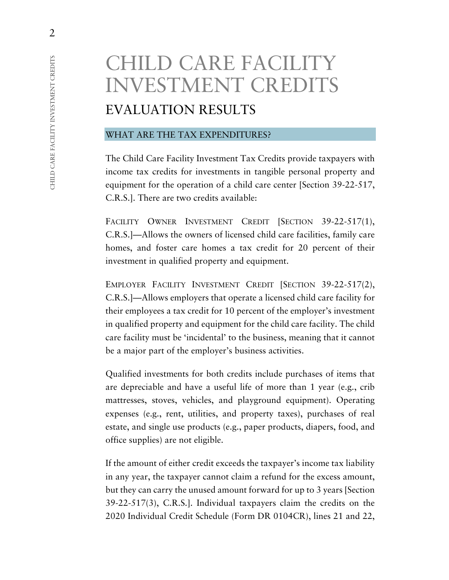# CHILD CARE FACILITY INVESTMENT CREDITS EVALUATION RESULTS

### WHAT ARE THE TAX EXPENDITURES?

The Child Care Facility Investment Tax Credits provide taxpayers with income tax credits for investments in tangible personal property and equipment for the operation of a child care center [Section 39-22-517, C.R.S.]. There are two credits available:

FACILITY OWNER INVESTMENT CREDIT [SECTION 39-22-517(1), C.R.S.]—Allows the owners of licensed child care facilities, family care homes, and foster care homes a tax credit for 20 percent of their investment in qualified property and equipment.

EMPLOYER FACILITY INVESTMENT CREDIT [SECTION 39-22-517(2), C.R.S.]—Allows employers that operate a licensed child care facility for their employees a tax credit for 10 percent of the employer's investment in qualified property and equipment for the child care facility. The child care facility must be 'incidental' to the business, meaning that it cannot be a major part of the employer's business activities.

Qualified investments for both credits include purchases of items that are depreciable and have a useful life of more than 1 year (e.g., crib mattresses, stoves, vehicles, and playground equipment). Operating expenses (e.g., rent, utilities, and property taxes), purchases of real estate, and single use products (e.g., paper products, diapers, food, and office supplies) are not eligible.

If the amount of either credit exceeds the taxpayer's income tax liability in any year, the taxpayer cannot claim a refund for the excess amount, but they can carry the unused amount forward for up to 3 years [Section 39-22-517(3), C.R.S.]. Individual taxpayers claim the credits on the 2020 Individual Credit Schedule (Form DR 0104CR), lines 21 and 22,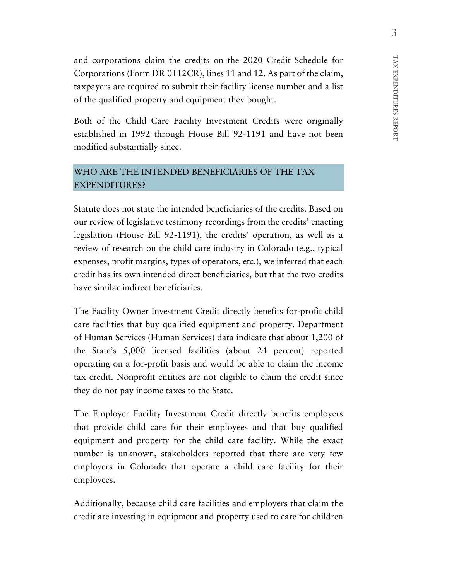and corporations claim the credits on the 2020 Credit Schedule for Corporations (Form DR 0112CR), lines 11 and 12. As part of the claim, taxpayers are required to submit their facility license number and a list of the qualified property and equipment they bought.

Both of the Child Care Facility Investment Credits were originally established in 1992 through House Bill 92-1191 and have not been modified substantially since.

## WHO ARE THE INTENDED BENEFICIARIES OF THE TAX EXPENDITURES?

Statute does not state the intended beneficiaries of the credits. Based on our review of legislative testimony recordings from the credits' enacting legislation (House Bill 92-1191), the credits' operation, as well as a review of research on the child care industry in Colorado (e.g., typical expenses, profit margins, types of operators, etc.), we inferred that each credit has its own intended direct beneficiaries, but that the two credits have similar indirect beneficiaries.

The Facility Owner Investment Credit directly benefits for-profit child care facilities that buy qualified equipment and property. Department of Human Services (Human Services) data indicate that about 1,200 of the State's 5,000 licensed facilities (about 24 percent) reported operating on a for-profit basis and would be able to claim the income tax credit. Nonprofit entities are not eligible to claim the credit since they do not pay income taxes to the State.

The Employer Facility Investment Credit directly benefits employers that provide child care for their employees and that buy qualified equipment and property for the child care facility. While the exact number is unknown, stakeholders reported that there are very few employers in Colorado that operate a child care facility for their employees.

Additionally, because child care facilities and employers that claim the credit are investing in equipment and property used to care for children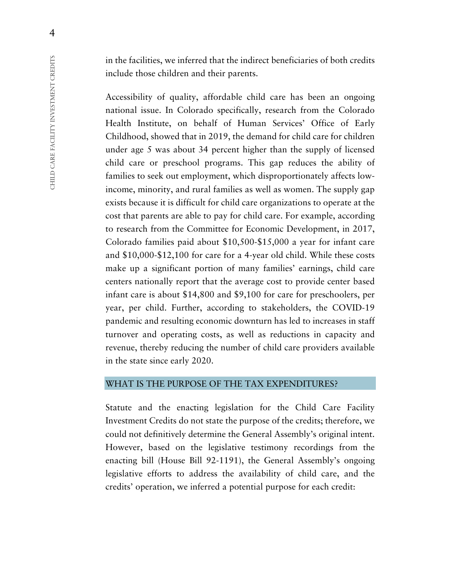in the facilities, we inferred that the indirect beneficiaries of both credits include those children and their parents.

Accessibility of quality, affordable child care has been an ongoing national issue. In Colorado specifically, research from the Colorado Health Institute, on behalf of Human Services' Office of Early Childhood, showed that in 2019, the demand for child care for children under age 5 was about 34 percent higher than the supply of licensed child care or preschool programs. This gap reduces the ability of families to seek out employment, which disproportionately affects lowincome, minority, and rural families as well as women. The supply gap exists because it is difficult for child care organizations to operate at the cost that parents are able to pay for child care. For example, according to research from the Committee for Economic Development, in 2017, Colorado families paid about \$10,500-\$15,000 a year for infant care and \$10,000-\$12,100 for care for a 4-year old child. While these costs make up a significant portion of many families' earnings, child care centers nationally report that the average cost to provide center based infant care is about \$14,800 and \$9,100 for care for preschoolers, per year, per child. Further, according to stakeholders, the COVID-19 pandemic and resulting economic downturn has led to increases in staff turnover and operating costs, as well as reductions in capacity and revenue, thereby reducing the number of child care providers available in the state since early 2020.

### WHAT IS THE PURPOSE OF THE TAX EXPENDITURES?

Statute and the enacting legislation for the Child Care Facility Investment Credits do not state the purpose of the credits; therefore, we could not definitively determine the General Assembly's original intent. However, based on the legislative testimony recordings from the enacting bill (House Bill 92-1191), the General Assembly's ongoing legislative efforts to address the availability of child care, and the credits' operation, we inferred a potential purpose for each credit: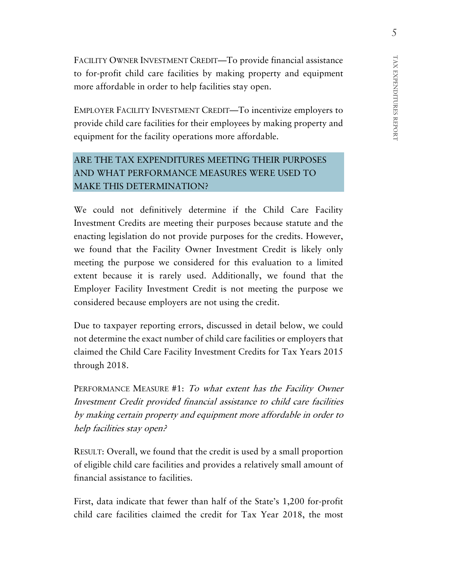FACILITY OWNER INVESTMENT CREDIT—To provide financial assistance to for-profit child care facilities by making property and equipment more affordable in order to help facilities stay open.

EMPLOYER FACILITY INVESTMENT CREDIT—To incentivize employers to provide child care facilities for their employees by making property and equipment for the facility operations more affordable.

# ARE THE TAX EXPENDITURES MEETING THEIR PURPOSES AND WHAT PERFORMANCE MEASURES WERE USED TO MAKE THIS DETERMINATION?

We could not definitively determine if the Child Care Facility Investment Credits are meeting their purposes because statute and the enacting legislation do not provide purposes for the credits. However, we found that the Facility Owner Investment Credit is likely only meeting the purpose we considered for this evaluation to a limited extent because it is rarely used. Additionally, we found that the Employer Facility Investment Credit is not meeting the purpose we considered because employers are not using the credit.

Due to taxpayer reporting errors, discussed in detail below, we could not determine the exact number of child care facilities or employers that claimed the Child Care Facility Investment Credits for Tax Years 2015 through 2018.

PERFORMANCE MEASURE #1: To what extent has the Facility Owner Investment Credit provided financial assistance to child care facilities by making certain property and equipment more affordable in order to help facilities stay open?

RESULT: Overall, we found that the credit is used by a small proportion of eligible child care facilities and provides a relatively small amount of financial assistance to facilities.

First, data indicate that fewer than half of the State's 1,200 for-profit child care facilities claimed the credit for Tax Year 2018, the most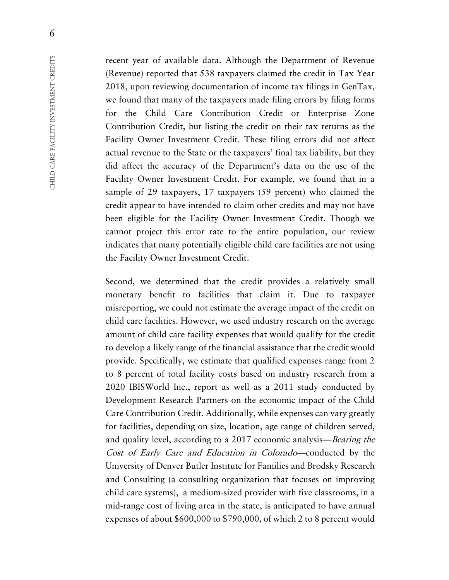recent year of available data. Although the Department of Revenue (Revenue) reported that 538 taxpayers claimed the credit in Tax Year 2018, upon reviewing documentation of income tax filings in GenTax, we found that many of the taxpayers made filing errors by filing forms for the Child Care Contribution Credit or Enterprise Zone Contribution Credit, but listing the credit on their tax returns as the Facility Owner Investment Credit. These filing errors did not affect actual revenue to the State or the taxpayers' final tax liability, but they did affect the accuracy of the Department's data on the use of the Facility Owner Investment Credit. For example, we found that in a sample of 29 taxpayers, 17 taxpayers (59 percent) who claimed the credit appear to have intended to claim other credits and may not have been eligible for the Facility Owner Investment Credit. Though we cannot project this error rate to the entire population, our review indicates that many potentially eligible child care facilities are not using the Facility Owner Investment Credit.

Second, we determined that the credit provides a relatively small monetary benefit to facilities that claim it. Due to taxpayer misreporting, we could not estimate the average impact of the credit on child care facilities. However, we used industry research on the average amount of child care facility expenses that would qualify for the credit to develop a likely range of the financial assistance that the credit would provide. Specifically, we estimate that qualified expenses range from 2 to 8 percent of total facility costs based on industry research from a 2020 IBISWorld Inc., report as well as a 2011 study conducted by Development Research Partners on the economic impact of the Child Care Contribution Credit. Additionally, while expenses can vary greatly for facilities, depending on size, location, age range of children served, and quality level, according to a 2017 economic analysis—Bearing the Cost of Early Care and Education in Colorado—conducted by the University of Denver Butler Institute for Families and Brodsky Research and Consulting (a consulting organization that focuses on improving child care systems), a medium-sized provider with five classrooms, in a mid-range cost of living area in the state, is anticipated to have annual expenses of about \$600,000 to \$790,000, of which 2 to 8 percent would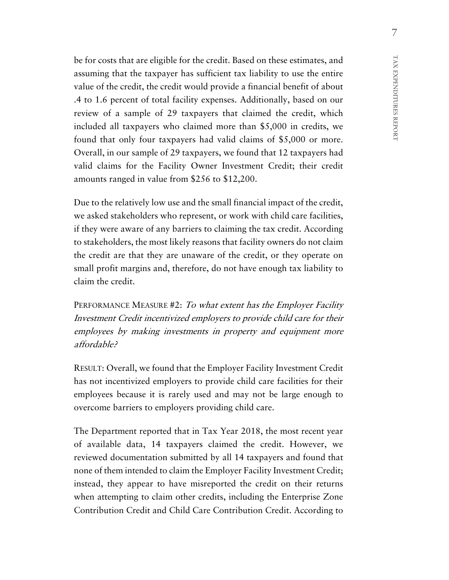be for costs that are eligible for the credit. Based on these estimates, and assuming that the taxpayer has sufficient tax liability to use the entire value of the credit, the credit would provide a financial benefit of about .4 to 1.6 percent of total facility expenses. Additionally, based on our review of a sample of 29 taxpayers that claimed the credit, which included all taxpayers who claimed more than \$5,000 in credits, we found that only four taxpayers had valid claims of \$5,000 or more. Overall, in our sample of 29 taxpayers, we found that 12 taxpayers had valid claims for the Facility Owner Investment Credit; their credit amounts ranged in value from \$256 to \$12,200.

Due to the relatively low use and the small financial impact of the credit, we asked stakeholders who represent, or work with child care facilities, if they were aware of any barriers to claiming the tax credit. According to stakeholders, the most likely reasons that facility owners do not claim the credit are that they are unaware of the credit, or they operate on small profit margins and, therefore, do not have enough tax liability to claim the credit.

PERFORMANCE MEASURE #2: To what extent has the Employer Facility Investment Credit incentivized employers to provide child care for their employees by making investments in property and equipment more affordable?

RESULT: Overall, we found that the Employer Facility Investment Credit has not incentivized employers to provide child care facilities for their employees because it is rarely used and may not be large enough to overcome barriers to employers providing child care.

The Department reported that in Tax Year 2018, the most recent year of available data, 14 taxpayers claimed the credit. However, we reviewed documentation submitted by all 14 taxpayers and found that none of them intended to claim the Employer Facility Investment Credit; instead, they appear to have misreported the credit on their returns when attempting to claim other credits, including the Enterprise Zone Contribution Credit and Child Care Contribution Credit. According to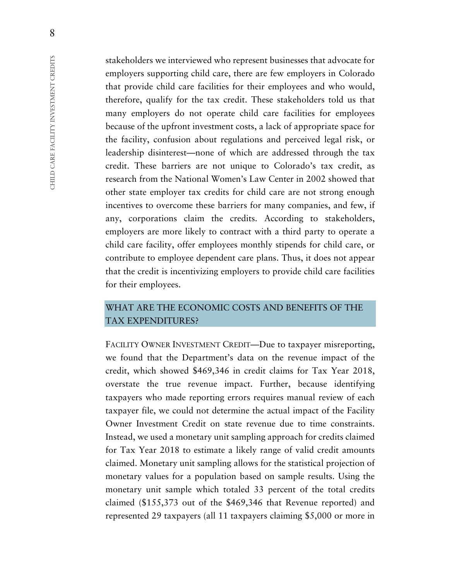stakeholders we interviewed who represent businesses that advocate for employers supporting child care, there are few employers in Colorado that provide child care facilities for their employees and who would, therefore, qualify for the tax credit. These stakeholders told us that many employers do not operate child care facilities for employees because of the upfront investment costs, a lack of appropriate space for the facility, confusion about regulations and perceived legal risk, or leadership disinterest—none of which are addressed through the tax credit. These barriers are not unique to Colorado's tax credit, as research from the National Women's Law Center in 2002 showed that other state employer tax credits for child care are not strong enough incentives to overcome these barriers for many companies, and few, if any, corporations claim the credits. According to stakeholders, employers are more likely to contract with a third party to operate a child care facility, offer employees monthly stipends for child care, or contribute to employee dependent care plans. Thus, it does not appear that the credit is incentivizing employers to provide child care facilities for their employees.

## WHAT ARE THE ECONOMIC COSTS AND BENEFITS OF THE TAX EXPENDITURES?

FACILITY OWNER INVESTMENT CREDIT—Due to taxpayer misreporting, we found that the Department's data on the revenue impact of the credit, which showed \$469,346 in credit claims for Tax Year 2018, overstate the true revenue impact. Further, because identifying taxpayers who made reporting errors requires manual review of each taxpayer file, we could not determine the actual impact of the Facility Owner Investment Credit on state revenue due to time constraints. Instead, we used a monetary unit sampling approach for credits claimed for Tax Year 2018 to estimate a likely range of valid credit amounts claimed. Monetary unit sampling allows for the statistical projection of monetary values for a population based on sample results. Using the monetary unit sample which totaled 33 percent of the total credits claimed (\$155,373 out of the \$469,346 that Revenue reported) and represented 29 taxpayers (all 11 taxpayers claiming \$5,000 or more in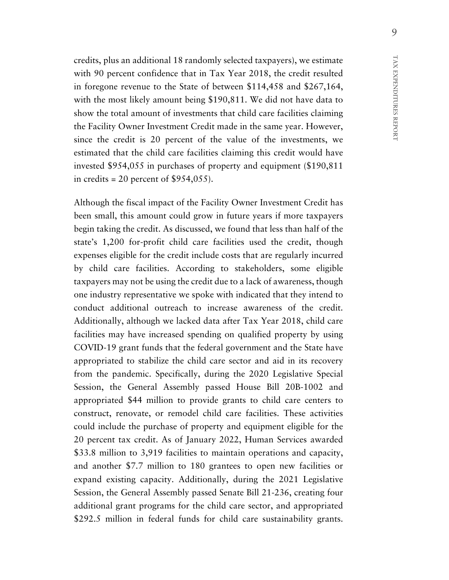credits, plus an additional 18 randomly selected taxpayers), we estimate with 90 percent confidence that in Tax Year 2018, the credit resulted in foregone revenue to the State of between \$114,458 and \$267,164, with the most likely amount being \$190,811. We did not have data to show the total amount of investments that child care facilities claiming the Facility Owner Investment Credit made in the same year. However, since the credit is 20 percent of the value of the investments, we estimated that the child care facilities claiming this credit would have invested \$954,055 in purchases of property and equipment (\$190,811 in credits = 20 percent of  $$954,055$ ).

Although the fiscal impact of the Facility Owner Investment Credit has been small, this amount could grow in future years if more taxpayers begin taking the credit. As discussed, we found that less than half of the state's 1,200 for-profit child care facilities used the credit, though expenses eligible for the credit include costs that are regularly incurred by child care facilities. According to stakeholders, some eligible taxpayers may not be using the credit due to a lack of awareness, though one industry representative we spoke with indicated that they intend to conduct additional outreach to increase awareness of the credit. Additionally, although we lacked data after Tax Year 2018, child care facilities may have increased spending on qualified property by using COVID-19 grant funds that the federal government and the State have appropriated to stabilize the child care sector and aid in its recovery from the pandemic. Specifically, during the 2020 Legislative Special Session, the General Assembly passed House Bill 20B-1002 and appropriated \$44 million to provide grants to child care centers to construct, renovate, or remodel child care facilities. These activities could include the purchase of property and equipment eligible for the 20 percent tax credit. As of January 2022, Human Services awarded \$33.8 million to 3,919 facilities to maintain operations and capacity, and another \$7.7 million to 180 grantees to open new facilities or expand existing capacity. Additionally, during the 2021 Legislative Session, the General Assembly passed Senate Bill 21-236, creating four additional grant programs for the child care sector, and appropriated \$292.5 million in federal funds for child care sustainability grants.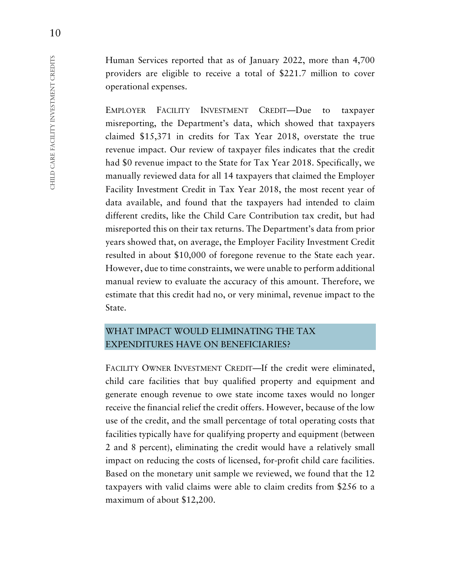Human Services reported that as of January 2022, more than 4,700 providers are eligible to receive a total of \$221.7 million to cover operational expenses.

EMPLOYER FACILITY INVESTMENT CREDIT—Due to taxpayer misreporting, the Department's data, which showed that taxpayers claimed \$15,371 in credits for Tax Year 2018, overstate the true revenue impact. Our review of taxpayer files indicates that the credit had \$0 revenue impact to the State for Tax Year 2018. Specifically, we manually reviewed data for all 14 taxpayers that claimed the Employer Facility Investment Credit in Tax Year 2018, the most recent year of data available, and found that the taxpayers had intended to claim different credits, like the Child Care Contribution tax credit, but had misreported this on their tax returns. The Department's data from prior years showed that, on average, the Employer Facility Investment Credit resulted in about \$10,000 of foregone revenue to the State each year. However, due to time constraints, we were unable to perform additional manual review to evaluate the accuracy of this amount. Therefore, we estimate that this credit had no, or very minimal, revenue impact to the State.

# WHAT IMPACT WOULD ELIMINATING THE TAX EXPENDITURES HAVE ON BENEFICIARIES?

FACILITY OWNER INVESTMENT CREDIT—If the credit were eliminated, child care facilities that buy qualified property and equipment and generate enough revenue to owe state income taxes would no longer receive the financial relief the credit offers. However, because of the low use of the credit, and the small percentage of total operating costs that facilities typically have for qualifying property and equipment (between 2 and 8 percent), eliminating the credit would have a relatively small impact on reducing the costs of licensed, for-profit child care facilities. Based on the monetary unit sample we reviewed, we found that the 12 taxpayers with valid claims were able to claim credits from \$256 to a maximum of about \$12,200.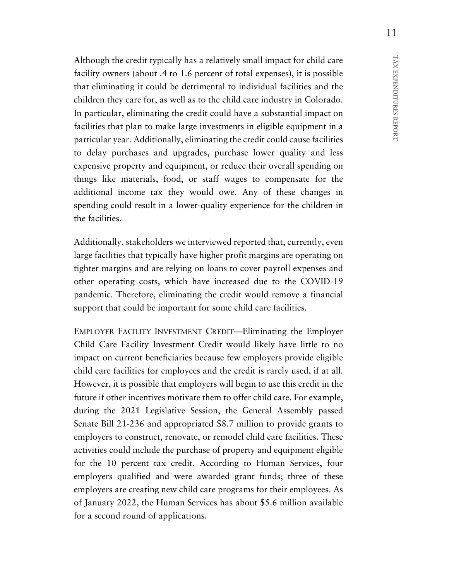Although the credit typically has a relatively small impact for child care facility owners (about .4 to 1.6 percent of total expenses), it is possible that eliminating it could be detrimental to individual facilities and the children they care for, as well as to the child care industry in Colorado. In particular, eliminating the credit could have a substantial impact on facilities that plan to make large investments in eligible equipment in a particular year. Additionally, eliminating the credit could cause facilities to delay purchases and upgrades, purchase lower quality and less expensive property and equipment, or reduce their overall spending on things like materials, food, or staff wages to compensate for the additional income tax they would owe. Any of these changes in spending could result in a lower-quality experience for the children in the facilities.

Additionally, stakeholders we interviewed reported that, currently, even large facilities that typically have higher profit margins are operating on tighter margins and are relying on loans to cover payroll expenses and other operating costs, which have increased due to the COVID-19 pandemic. Therefore, eliminating the credit would remove a financial support that could be important for some child care facilities.

EMPLOYER FACILITY INVESTMENT CREDIT—Eliminating the Employer Child Care Facility Investment Credit would likely have little to no impact on current beneficiaries because few employers provide eligible child care facilities for employees and the credit is rarely used, if at all. However, it is possible that employers will begin to use this credit in the future if other incentives motivate them to offer child care. For example, during the 2021 Legislative Session, the General Assembly passed Senate Bill 21-236 and appropriated \$8.7 million to provide grants to employers to construct, renovate, or remodel child care facilities. These activities could include the purchase of property and equipment eligible for the 10 percent tax credit. According to Human Services, four employers qualified and were awarded grant funds; three of these employers are creating new child care programs for their employees. As of January 2022, the Human Services has about \$5.6 million available for a second round of applications.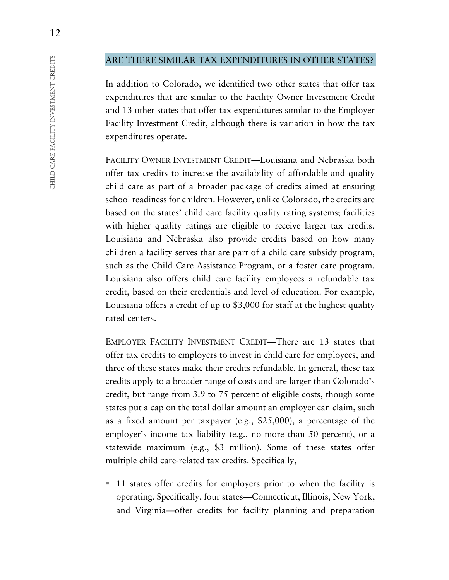### ARE THERE SIMILAR TAX EXPENDITURES IN OTHER STATES?

In addition to Colorado, we identified two other states that offer tax expenditures that are similar to the Facility Owner Investment Credit and 13 other states that offer tax expenditures similar to the Employer Facility Investment Credit, although there is variation in how the tax expenditures operate.

FACILITY OWNER INVESTMENT CREDIT—Louisiana and Nebraska both offer tax credits to increase the availability of affordable and quality child care as part of a broader package of credits aimed at ensuring school readiness for children. However, unlike Colorado, the credits are based on the states' child care facility quality rating systems; facilities with higher quality ratings are eligible to receive larger tax credits. Louisiana and Nebraska also provide credits based on how many children a facility serves that are part of a child care subsidy program, such as the Child Care Assistance Program, or a foster care program. Louisiana also offers child care facility employees a refundable tax credit, based on their credentials and level of education. For example, Louisiana offers a credit of up to \$3,000 for staff at the highest quality rated centers.

EMPLOYER FACILITY INVESTMENT CREDIT—There are 13 states that offer tax credits to employers to invest in child care for employees, and three of these states make their credits refundable. In general, these tax credits apply to a broader range of costs and are larger than Colorado's credit, but range from 3.9 to 75 percent of eligible costs, though some states put a cap on the total dollar amount an employer can claim, such as a fixed amount per taxpayer (e.g., \$25,000), a percentage of the employer's income tax liability (e.g., no more than 50 percent), or a statewide maximum (e.g., \$3 million). Some of these states offer multiple child care-related tax credits. Specifically,

■ 11 states offer credits for employers prior to when the facility is operating. Specifically, four states—Connecticut, Illinois, New York, and Virginia—offer credits for facility planning and preparation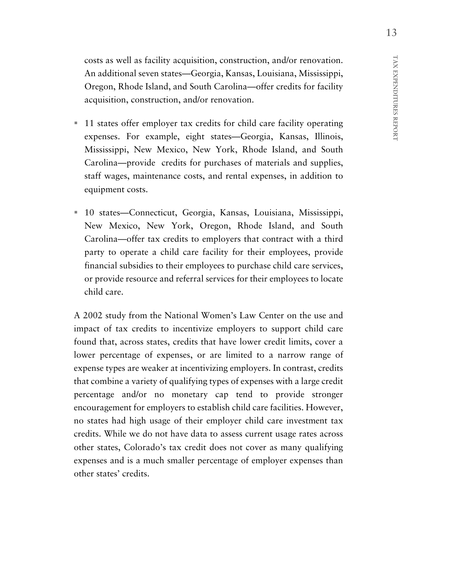costs as well as facility acquisition, construction, and/or renovation. An additional seven states—Georgia, Kansas, Louisiana, Mississippi, Oregon, Rhode Island, and South Carolina—offer credits for facility acquisition, construction, and/or renovation.

- 11 states offer employer tax credits for child care facility operating expenses. For example, eight states—Georgia, Kansas, Illinois, Mississippi, New Mexico, New York, Rhode Island, and South Carolina—provide credits for purchases of materials and supplies, staff wages, maintenance costs, and rental expenses, in addition to equipment costs.
- 10 states—Connecticut, Georgia, Kansas, Louisiana, Mississippi, New Mexico, New York, Oregon, Rhode Island, and South Carolina—offer tax credits to employers that contract with a third party to operate a child care facility for their employees, provide financial subsidies to their employees to purchase child care services, or provide resource and referral services for their employees to locate child care.

A 2002 study from the National Women's Law Center on the use and impact of tax credits to incentivize employers to support child care found that, across states, credits that have lower credit limits, cover a lower percentage of expenses, or are limited to a narrow range of expense types are weaker at incentivizing employers. In contrast, credits that combine a variety of qualifying types of expenses with a large credit percentage and/or no monetary cap tend to provide stronger encouragement for employers to establish child care facilities. However, no states had high usage of their employer child care investment tax credits. While we do not have data to assess current usage rates across other states, Colorado's tax credit does not cover as many qualifying expenses and is a much smaller percentage of employer expenses than other states' credits.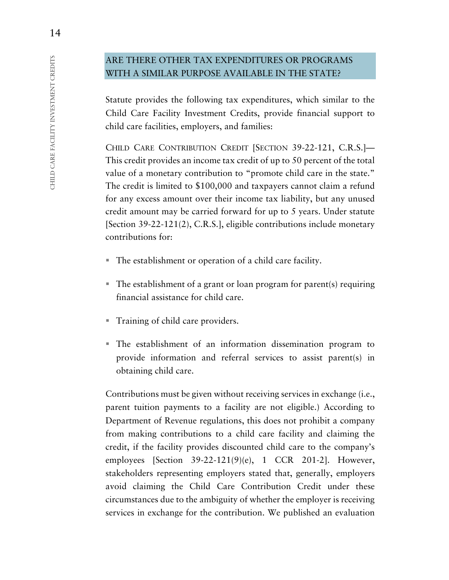# ARE THERE OTHER TAX EXPENDITURES OR PROGRAMS WITH A SIMILAR PURPOSE AVAILABLE IN THE STATE?

Statute provides the following tax expenditures, which similar to the Child Care Facility Investment Credits, provide financial support to child care facilities, employers, and families:

CHILD CARE CONTRIBUTION CREDIT [SECTION 39-22-121, C.R.S.]— This credit provides an income tax credit of up to 50 percent of the total value of a monetary contribution to "promote child care in the state." The credit is limited to \$100,000 and taxpayers cannot claim a refund for any excess amount over their income tax liability, but any unused credit amount may be carried forward for up to 5 years. Under statute [Section 39-22-121(2), C.R.S.], eligible contributions include monetary contributions for:

- The establishment or operation of a child care facility.
- The establishment of a grant or loan program for parent(s) requiring financial assistance for child care.
- Training of child care providers.
- The establishment of an information dissemination program to provide information and referral services to assist parent(s) in obtaining child care.

Contributions must be given without receiving services in exchange (i.e., parent tuition payments to a facility are not eligible.) According to Department of Revenue regulations, this does not prohibit a company from making contributions to a child care facility and claiming the credit, if the facility provides discounted child care to the company's employees [Section 39-22-121(9)(e), 1 CCR 201-2]. However, stakeholders representing employers stated that, generally, employers avoid claiming the Child Care Contribution Credit under these circumstances due to the ambiguity of whether the employer is receiving services in exchange for the contribution. We published an evaluation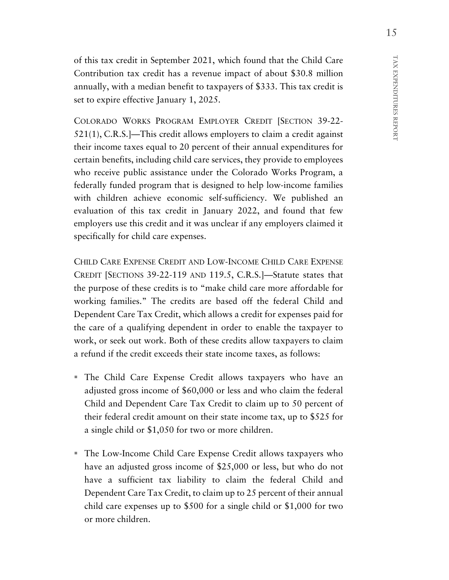TAX EXPENDITURES REPORT TAX EXPENDITURES REPORT

of this tax credit in September 2021, which found that the Child Care Contribution tax credit has a revenue impact of about \$30.8 million annually, with a median benefit to taxpayers of \$333. This tax credit is set to expire effective January 1, 2025.

COLORADO WORKS PROGRAM EMPLOYER CREDIT [SECTION 39-22- 521(1), C.R.S.]—This credit allows employers to claim a credit against their income taxes equal to 20 percent of their annual expenditures for certain benefits, including child care services, they provide to employees who receive public assistance under the Colorado Works Program, a federally funded program that is designed to help low-income families with children achieve economic self-sufficiency. We published an evaluation of this tax credit in January 2022, and found that few employers use this credit and it was unclear if any employers claimed it specifically for child care expenses.

CHILD CARE EXPENSE CREDIT AND LOW-INCOME CHILD CARE EXPENSE CREDIT [SECTIONS 39-22-119 AND 119.5, C.R.S.]—Statute states that the purpose of these credits is to "make child care more affordable for working families." The credits are based off the federal Child and Dependent Care Tax Credit, which allows a credit for expenses paid for the care of a qualifying dependent in order to enable the taxpayer to work, or seek out work. Both of these credits allow taxpayers to claim a refund if the credit exceeds their state income taxes, as follows:

- The Child Care Expense Credit allows taxpayers who have an adjusted gross income of \$60,000 or less and who claim the federal Child and Dependent Care Tax Credit to claim up to 50 percent of their federal credit amount on their state income tax, up to \$525 for a single child or \$1,050 for two or more children.
- The Low-Income Child Care Expense Credit allows taxpayers who have an adjusted gross income of \$25,000 or less, but who do not have a sufficient tax liability to claim the federal Child and Dependent Care Tax Credit, to claim up to 25 percent of their annual child care expenses up to \$500 for a single child or \$1,000 for two or more children.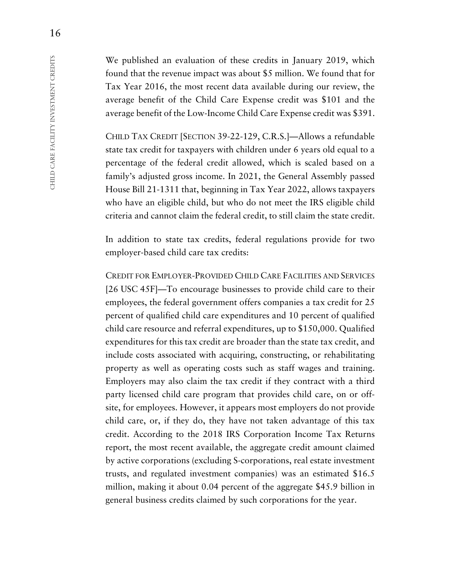We published an evaluation of these credits in January 2019, which found that the revenue impact was about \$5 million. We found that for Tax Year 2016, the most recent data available during our review, the average benefit of the Child Care Expense credit was \$101 and the average benefit of the Low-Income Child Care Expense credit was \$391.

CHILD TAX CREDIT [SECTION 39-22-129, C.R.S.]—Allows a refundable state tax credit for taxpayers with children under 6 years old equal to a percentage of the federal credit allowed, which is scaled based on a family's adjusted gross income. In 2021, the General Assembly passed House Bill 21-1311 that, beginning in Tax Year 2022, allows taxpayers who have an eligible child, but who do not meet the IRS eligible child criteria and cannot claim the federal credit, to still claim the state credit.

In addition to state tax credits, federal regulations provide for two employer-based child care tax credits:

CREDIT FOR EMPLOYER-PROVIDED CHILD CARE FACILITIES AND SERVICES [26 USC 45F]—To encourage businesses to provide child care to their employees, the federal government offers companies a tax credit for 25 percent of qualified child care expenditures and 10 percent of qualified child care resource and referral expenditures, up to \$150,000. Qualified expenditures for this tax credit are broader than the state tax credit, and include costs associated with acquiring, constructing, or rehabilitating property as well as operating costs such as staff wages and training. Employers may also claim the tax credit if they contract with a third party licensed child care program that provides child care, on or offsite, for employees. However, it appears most employers do not provide child care, or, if they do, they have not taken advantage of this tax credit. According to the 2018 IRS Corporation Income Tax Returns report, the most recent available, the aggregate credit amount claimed by active corporations (excluding S-corporations, real estate investment trusts, and regulated investment companies) was an estimated \$16.5 million, making it about 0.04 percent of the aggregate \$45.9 billion in general business credits claimed by such corporations for the year.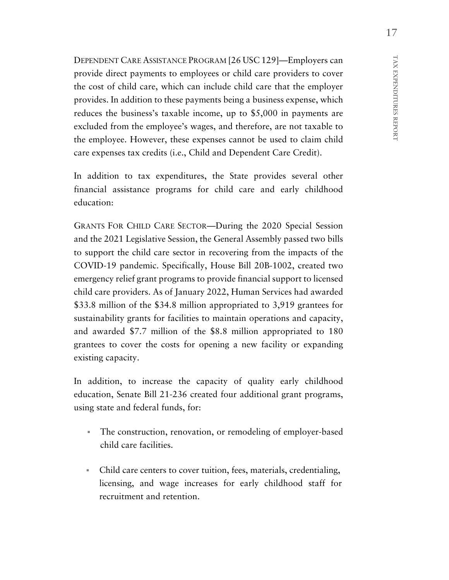DEPENDENT CARE ASSISTANCE PROGRAM [26 USC 129]—Employers can provide direct payments to employees or child care providers to cover the cost of child care, which can include child care that the employer provides. In addition to these payments being a business expense, which reduces the business's taxable income, up to \$5,000 in payments are excluded from the employee's wages, and therefore, are not taxable to the employee. However, these expenses cannot be used to claim child care expenses tax credits (i.e., Child and Dependent Care Credit).

In addition to tax expenditures, the State provides several other financial assistance programs for child care and early childhood education:

GRANTS FOR CHILD CARE SECTOR—During the 2020 Special Session and the 2021 Legislative Session, the General Assembly passed two bills to support the child care sector in recovering from the impacts of the COVID-19 pandemic. Specifically, House Bill 20B-1002, created two emergency relief grant programs to provide financial support to licensed child care providers. As of January 2022, Human Services had awarded \$33.8 million of the \$34.8 million appropriated to 3,919 grantees for sustainability grants for facilities to maintain operations and capacity, and awarded \$7.7 million of the \$8.8 million appropriated to 180 grantees to cover the costs for opening a new facility or expanding existing capacity.

In addition, to increase the capacity of quality early childhood education, Senate Bill 21-236 created four additional grant programs, using state and federal funds, for:

- The construction, renovation, or remodeling of employer-based child care facilities.
- Child care centers to cover tuition, fees, materials, credentialing, licensing, and wage increases for early childhood staff for recruitment and retention.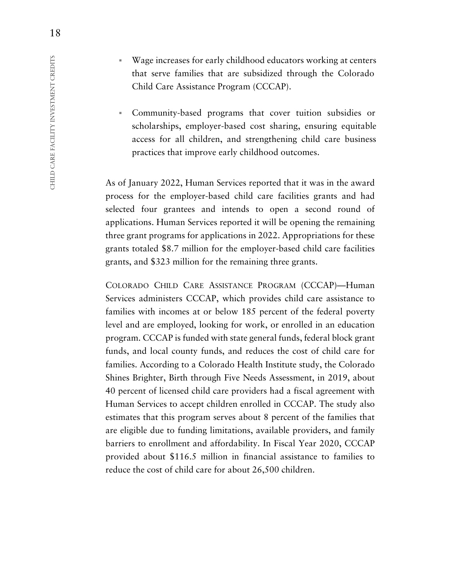- Wage increases for early childhood educators working at centers that serve families that are subsidized through the Colorado Child Care Assistance Program (CCCAP).
- Community-based programs that cover tuition subsidies or scholarships, employer-based cost sharing, ensuring equitable access for all children, and strengthening child care business practices that improve early childhood outcomes.

As of January 2022, Human Services reported that it was in the award process for the employer-based child care facilities grants and had selected four grantees and intends to open a second round of applications. Human Services reported it will be opening the remaining three grant programs for applications in 2022. Appropriations for these grants totaled \$8.7 million for the employer-based child care facilities grants, and \$323 million for the remaining three grants.

COLORADO CHILD CARE ASSISTANCE PROGRAM (CCCAP)—Human Services administers CCCAP, which provides child care assistance to families with incomes at or below 185 percent of the federal poverty level and are employed, looking for work, or enrolled in an education program. CCCAP is funded with state general funds, federal block grant funds, and local county funds, and reduces the cost of child care for families. According to a Colorado Health Institute study, the Colorado Shines Brighter, Birth through Five Needs Assessment, in 2019, about 40 percent of licensed child care providers had a fiscal agreement with Human Services to accept children enrolled in CCCAP. The study also estimates that this program serves about 8 percent of the families that are eligible due to funding limitations, available providers, and family barriers to enrollment and affordability. In Fiscal Year 2020, CCCAP provided about \$116.5 million in financial assistance to families to reduce the cost of child care for about 26,500 children.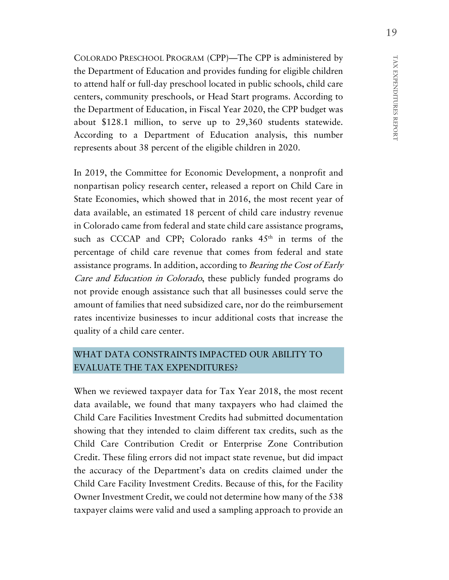COLORADO PRESCHOOL PROGRAM (CPP)—The CPP is administered by the Department of Education and provides funding for eligible children to attend half or full-day preschool located in public schools, child care centers, community preschools, or Head Start programs. According to the Department of Education, in Fiscal Year 2020, the CPP budget was about \$128.1 million, to serve up to 29,360 students statewide. According to a Department of Education analysis, this number represents about 38 percent of the eligible children in 2020.

In 2019, the Committee for Economic Development, a nonprofit and nonpartisan policy research center, released a report on Child Care in State Economies, which showed that in 2016, the most recent year of data available, an estimated 18 percent of child care industry revenue in Colorado came from federal and state child care assistance programs, such as CCCAP and CPP; Colorado ranks  $45<sup>th</sup>$  in terms of the percentage of child care revenue that comes from federal and state assistance programs. In addition, according to Bearing the Cost of Early Care and Education in Colorado, these publicly funded programs do not provide enough assistance such that all businesses could serve the amount of families that need subsidized care, nor do the reimbursement rates incentivize businesses to incur additional costs that increase the quality of a child care center.

# WHAT DATA CONSTRAINTS IMPACTED OUR ABILITY TO EVALUATE THE TAX EXPENDITURES?

When we reviewed taxpayer data for Tax Year 2018, the most recent data available, we found that many taxpayers who had claimed the Child Care Facilities Investment Credits had submitted documentation showing that they intended to claim different tax credits, such as the Child Care Contribution Credit or Enterprise Zone Contribution Credit. These filing errors did not impact state revenue, but did impact the accuracy of the Department's data on credits claimed under the Child Care Facility Investment Credits. Because of this, for the Facility Owner Investment Credit, we could not determine how many of the 538 taxpayer claims were valid and used a sampling approach to provide an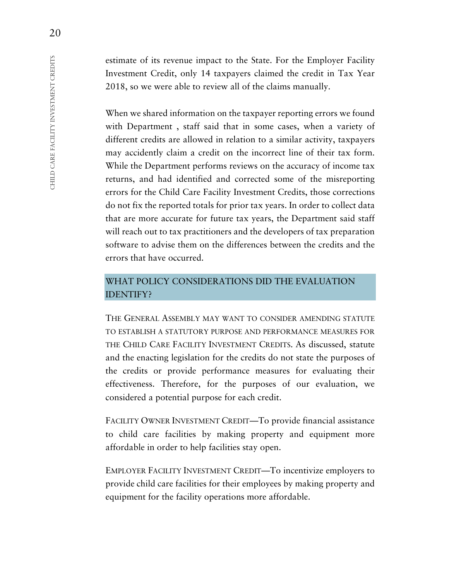estimate of its revenue impact to the State. For the Employer Facility Investment Credit, only 14 taxpayers claimed the credit in Tax Year 2018, so we were able to review all of the claims manually.

When we shared information on the taxpayer reporting errors we found with Department , staff said that in some cases, when a variety of different credits are allowed in relation to a similar activity, taxpayers may accidently claim a credit on the incorrect line of their tax form. While the Department performs reviews on the accuracy of income tax returns, and had identified and corrected some of the misreporting errors for the Child Care Facility Investment Credits, those corrections do not fix the reported totals for prior tax years. In order to collect data that are more accurate for future tax years, the Department said staff will reach out to tax practitioners and the developers of tax preparation software to advise them on the differences between the credits and the errors that have occurred.

# WHAT POLICY CONSIDERATIONS DID THE EVALUATION IDENTIFY?

THE GENERAL ASSEMBLY MAY WANT TO CONSIDER AMENDING STATUTE TO ESTABLISH A STATUTORY PURPOSE AND PERFORMANCE MEASURES FOR THE CHILD CARE FACILITY INVESTMENT CREDITS. As discussed, statute and the enacting legislation for the credits do not state the purposes of the credits or provide performance measures for evaluating their effectiveness. Therefore, for the purposes of our evaluation, we considered a potential purpose for each credit.

FACILITY OWNER INVESTMENT CREDIT—To provide financial assistance to child care facilities by making property and equipment more affordable in order to help facilities stay open.

EMPLOYER FACILITY INVESTMENT CREDIT—To incentivize employers to provide child care facilities for their employees by making property and equipment for the facility operations more affordable.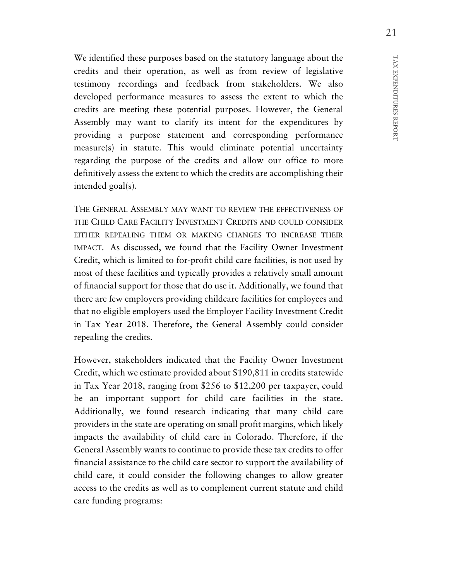We identified these purposes based on the statutory language about the credits and their operation, as well as from review of legislative testimony recordings and feedback from stakeholders. We also developed performance measures to assess the extent to which the credits are meeting these potential purposes. However, the General Assembly may want to clarify its intent for the expenditures by providing a purpose statement and corresponding performance measure(s) in statute. This would eliminate potential uncertainty regarding the purpose of the credits and allow our office to more definitively assess the extent to which the credits are accomplishing their intended goal(s).

THE GENERAL ASSEMBLY MAY WANT TO REVIEW THE EFFECTIVENESS OF THE CHILD CARE FACILITY INVESTMENT CREDITS AND COULD CONSIDER EITHER REPEALING THEM OR MAKING CHANGES TO INCREASE THEIR IMPACT. As discussed, we found that the Facility Owner Investment Credit, which is limited to for-profit child care facilities, is not used by most of these facilities and typically provides a relatively small amount of financial support for those that do use it. Additionally, we found that there are few employers providing childcare facilities for employees and that no eligible employers used the Employer Facility Investment Credit in Tax Year 2018. Therefore, the General Assembly could consider repealing the credits.

However, stakeholders indicated that the Facility Owner Investment Credit, which we estimate provided about \$190,811 in credits statewide in Tax Year 2018, ranging from \$256 to \$12,200 per taxpayer, could be an important support for child care facilities in the state. Additionally, we found research indicating that many child care providers in the state are operating on small profit margins, which likely impacts the availability of child care in Colorado. Therefore, if the General Assembly wants to continue to provide these tax credits to offer financial assistance to the child care sector to support the availability of child care, it could consider the following changes to allow greater access to the credits as well as to complement current statute and child care funding programs: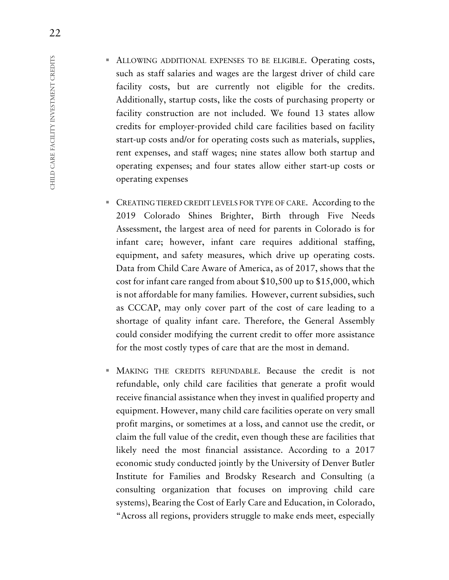- ALLOWING ADDITIONAL EXPENSES TO BE ELIGIBLE. Operating costs, such as staff salaries and wages are the largest driver of child care facility costs, but are currently not eligible for the credits. Additionally, startup costs, like the costs of purchasing property or facility construction are not included. We found 13 states allow credits for employer-provided child care facilities based on facility start-up costs and/or for operating costs such as materials, supplies, rent expenses, and staff wages; nine states allow both startup and operating expenses; and four states allow either start-up costs or operating expenses
- **EXECUTED CREDIT LEVELS FOR TYPE OF CARE.** According to the 2019 Colorado Shines Brighter, Birth through Five Needs Assessment, the largest area of need for parents in Colorado is for infant care; however, infant care requires additional staffing, equipment, and safety measures, which drive up operating costs. Data from Child Care Aware of America, as of 2017, shows that the cost for infant care ranged from about \$10,500 up to \$15,000, which is not affordable for many families. However, current subsidies, such as CCCAP, may only cover part of the cost of care leading to a shortage of quality infant care. Therefore, the General Assembly could consider modifying the current credit to offer more assistance for the most costly types of care that are the most in demand.
- MAKING THE CREDITS REFUNDABLE. Because the credit is not refundable, only child care facilities that generate a profit would receive financial assistance when they invest in qualified property and equipment. However, many child care facilities operate on very small profit margins, or sometimes at a loss, and cannot use the credit, or claim the full value of the credit, even though these are facilities that likely need the most financial assistance. According to a 2017 economic study conducted jointly by the University of Denver Butler Institute for Families and Brodsky Research and Consulting (a consulting organization that focuses on improving child care systems), Bearing the Cost of Early Care and Education, in Colorado, "Across all regions, providers struggle to make ends meet, especially